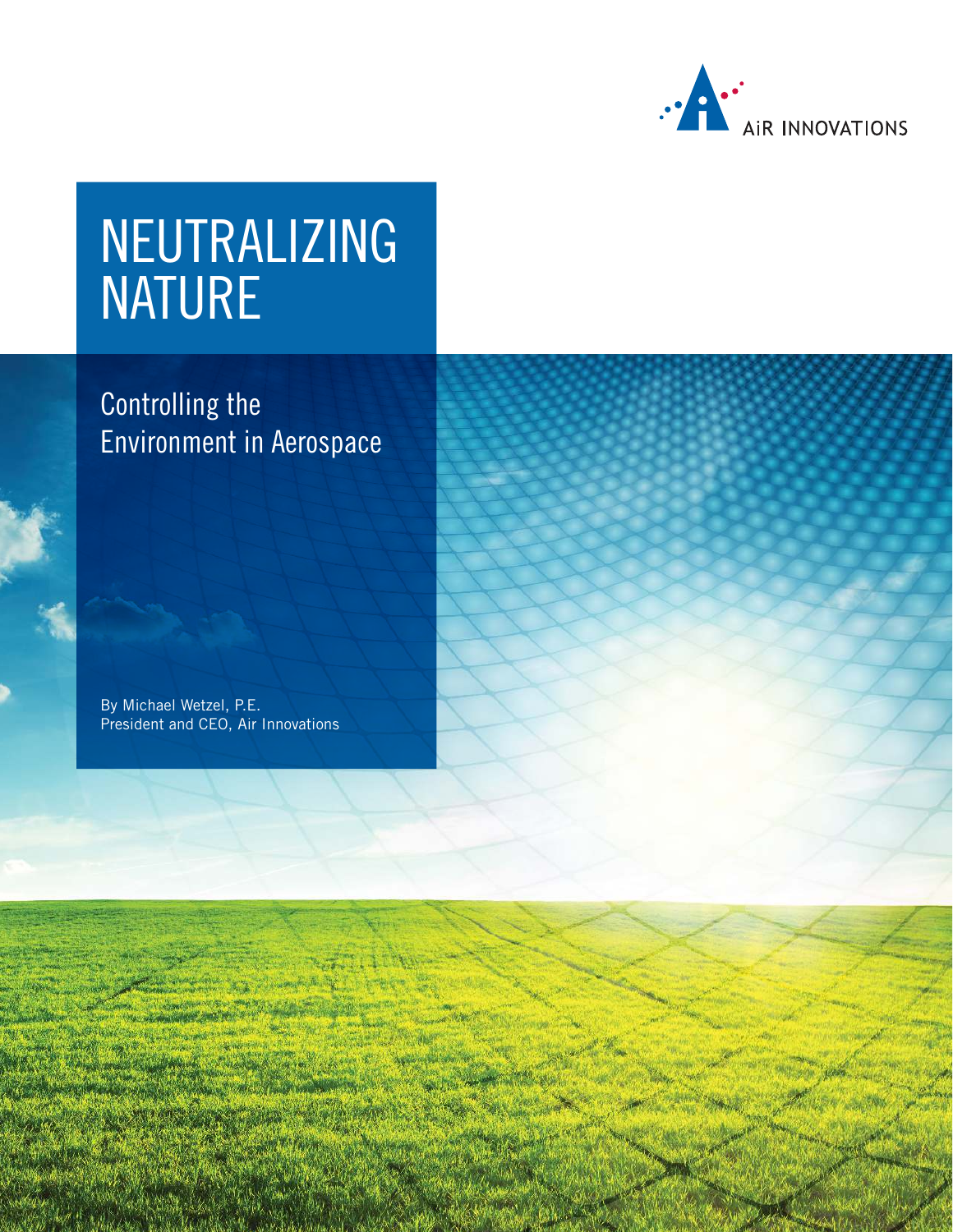

# NEUTRALIZING NATURE

Controlling the Environment in Aerospace

By Michael Wetzel, P.E. President and CEO, [Air Innovations](https://airinnovations.com)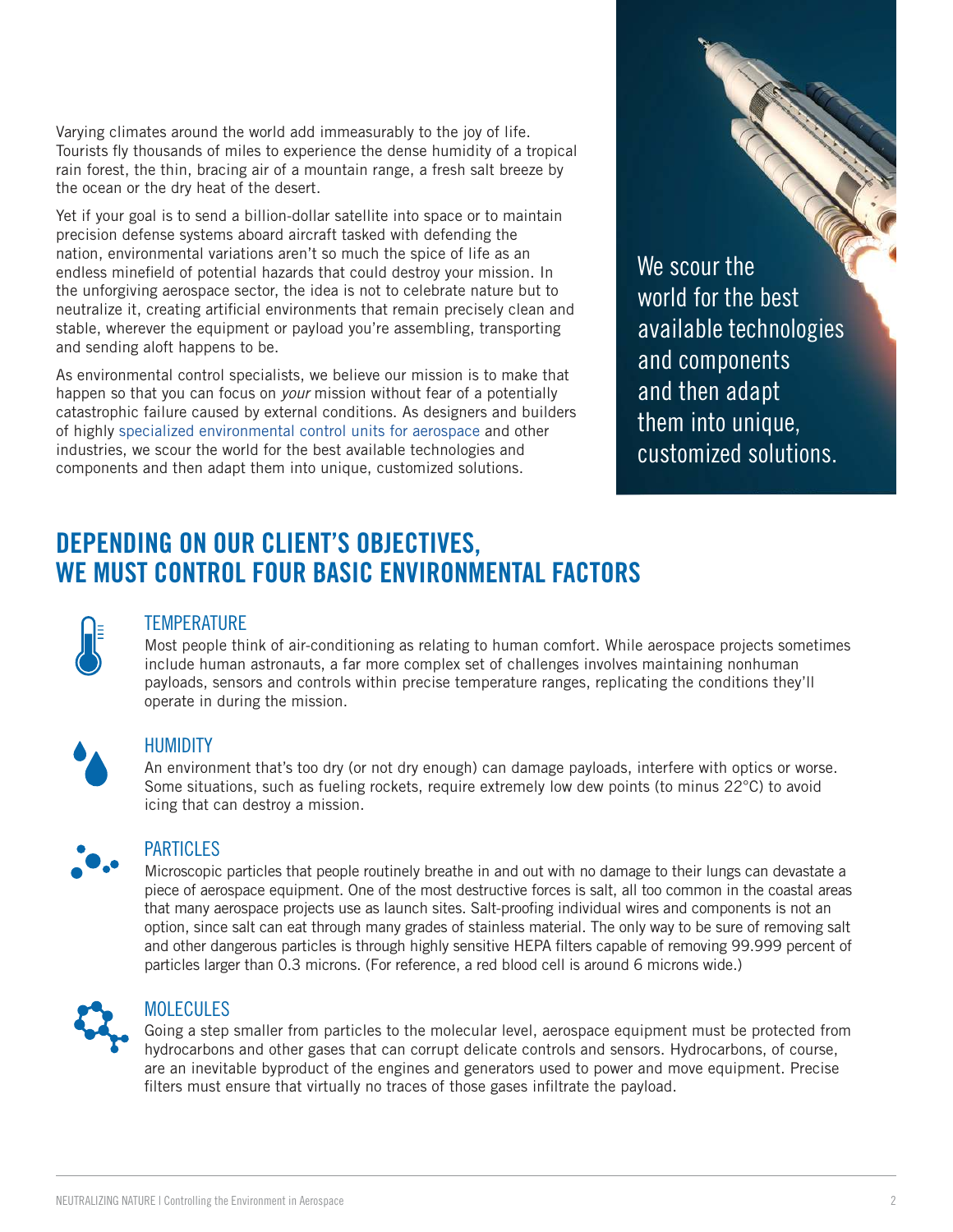Varying climates around the world add immeasurably to the joy of life. Tourists fly thousands of miles to experience the dense humidity of a tropical rain forest, the thin, bracing air of a mountain range, a fresh salt breeze by the ocean or the dry heat of the desert.

Yet if your goal is to send a billion-dollar satellite into space or to maintain precision defense systems aboard aircraft tasked with defending the nation, environmental variations aren't so much the spice of life as an endless minefield of potential hazards that could destroy your mission. In the unforgiving aerospace sector, the idea is not to celebrate nature but to neutralize it, creating artificial environments that remain precisely clean and stable, wherever the equipment or payload you're assembling, transporting and sending aloft happens to be.

As environmental control specialists, we believe our mission is to make that happen so that you can focus on *your* mission without fear of a potentially catastrophic failure caused by external conditions. As designers and builders of highly [specialized environmental control units for aerospace](https://airinnovations.com/industries/aerospace/) and other industries, we scour the world for the best available technologies and components and then adapt them into unique, customized solutions.

We scour the world for the best available technologies and components and then adapt them into unique, customized solutions.

## DEPENDING ON OUR CLIENT'S OBJECTIVES, WE MUST CONTROL FOUR BASIC ENVIRONMENTAL FACTORS



### **TEMPERATURE**

Most people think of air-conditioning as relating to human comfort. While aerospace projects sometimes include human astronauts, a far more complex set of challenges involves maintaining nonhuman payloads, sensors and controls within precise temperature ranges, replicating the conditions they'll operate in during the mission.



## **HUMIDITY**

An environment that's too dry (or not dry enough) can damage payloads, interfere with optics or worse. Some situations, such as fueling rockets, require extremely low dew points (to minus 22°C) to avoid icing that can destroy a mission.



### PARTICLES

Microscopic particles that people routinely breathe in and out with no damage to their lungs can devastate a piece of aerospace equipment. One of the most destructive forces is salt, all too common in the coastal areas that many aerospace projects use as launch sites. Salt-proofing individual wires and components is not an option, since salt can eat through many grades of stainless material. The only way to be sure of removing salt and other dangerous particles is through highly sensitive HEPA filters capable of removing 99.999 percent of particles larger than 0.3 microns. (For reference, a red blood cell is around 6 microns wide.)



## MOLECULES

Going a step smaller from particles to the molecular level, aerospace equipment must be protected from hydrocarbons and other gases that can corrupt delicate controls and sensors. Hydrocarbons, of course, are an inevitable byproduct of the engines and generators used to power and move equipment. Precise filters must ensure that virtually no traces of those gases infiltrate the payload.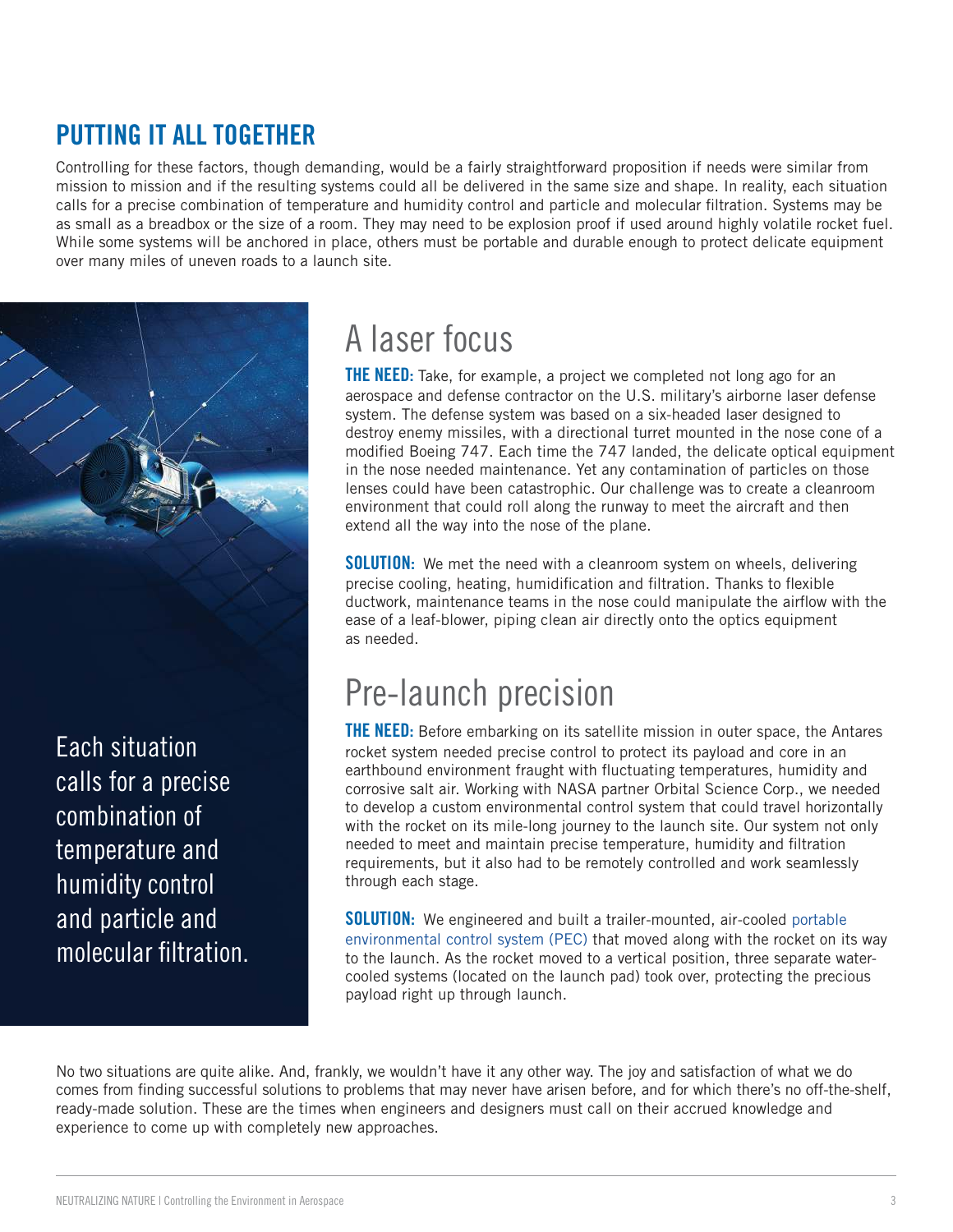## PUTTING IT ALL TOGETHER

Controlling for these factors, though demanding, would be a fairly straightforward proposition if needs were similar from mission to mission and if the resulting systems could all be delivered in the same size and shape. In reality, each situation calls for a precise combination of temperature and humidity control and particle and molecular filtration. Systems may be as small as a breadbox or the size of a room. They may need to be explosion proof if used around highly volatile rocket fuel. While some systems will be anchored in place, others must be portable and durable enough to protect delicate equipment over many miles of uneven roads to a launch site.



Each situation calls for a precise combination of temperature and humidity control and particle and molecular filtration.

## A laser focus

**THE NEED:** Take, for example, a project we completed not long ago for an aerospace and defense contractor on the U.S. military's airborne laser defense system. The defense system was based on a six-headed laser designed to destroy enemy missiles, with a directional turret mounted in the nose cone of a modified Boeing 747. Each time the 747 landed, the delicate optical equipment in the nose needed maintenance. Yet any contamination of particles on those lenses could have been catastrophic. Our challenge was to create a cleanroom environment that could roll along the runway to meet the aircraft and then extend all the way into the nose of the plane.

**SOLUTION:** We met the need with a cleanroom system on wheels, delivering precise cooling, heating, humidification and filtration. Thanks to flexible ductwork, maintenance teams in the nose could manipulate the airflow with the ease of a leaf-blower, piping clean air directly onto the optics equipment as needed.

## Pre-launch precision

**THE NEED:** Before embarking on its satellite mission in outer space, the Antares rocket system needed precise control to protect its payload and core in an earthbound environment fraught with fluctuating temperatures, humidity and corrosive salt air. Working with NASA partner Orbital Science Corp., we needed to develop a custom environmental control system that could travel horizontally with the rocket on its mile-long journey to the launch site. Our system not only needed to meet and maintain precise temperature, humidity and filtration requirements, but it also had to be remotely controlled and work seamlessly through each stage.

**SOLUTION:** We engineered and built a trailer-mounted, air-cooled portable [environmental control system \(PEC\) that moved along with the rocket on it](https://airinnovations.com/case_studies/aerospace-environmental-control-systems/)s way to the launch. As the rocket moved to a vertical position, three separate watercooled systems (located on the launch pad) took over, protecting the precious payload right up through launch.

No two situations are quite alike. And, frankly, we wouldn't have it any other way. The joy and satisfaction of what we do comes from finding successful solutions to problems that may never have arisen before, and for which there's no off-the-shelf, ready-made solution. These are the times when engineers and designers must call on their accrued knowledge and experience to come up with completely new approaches.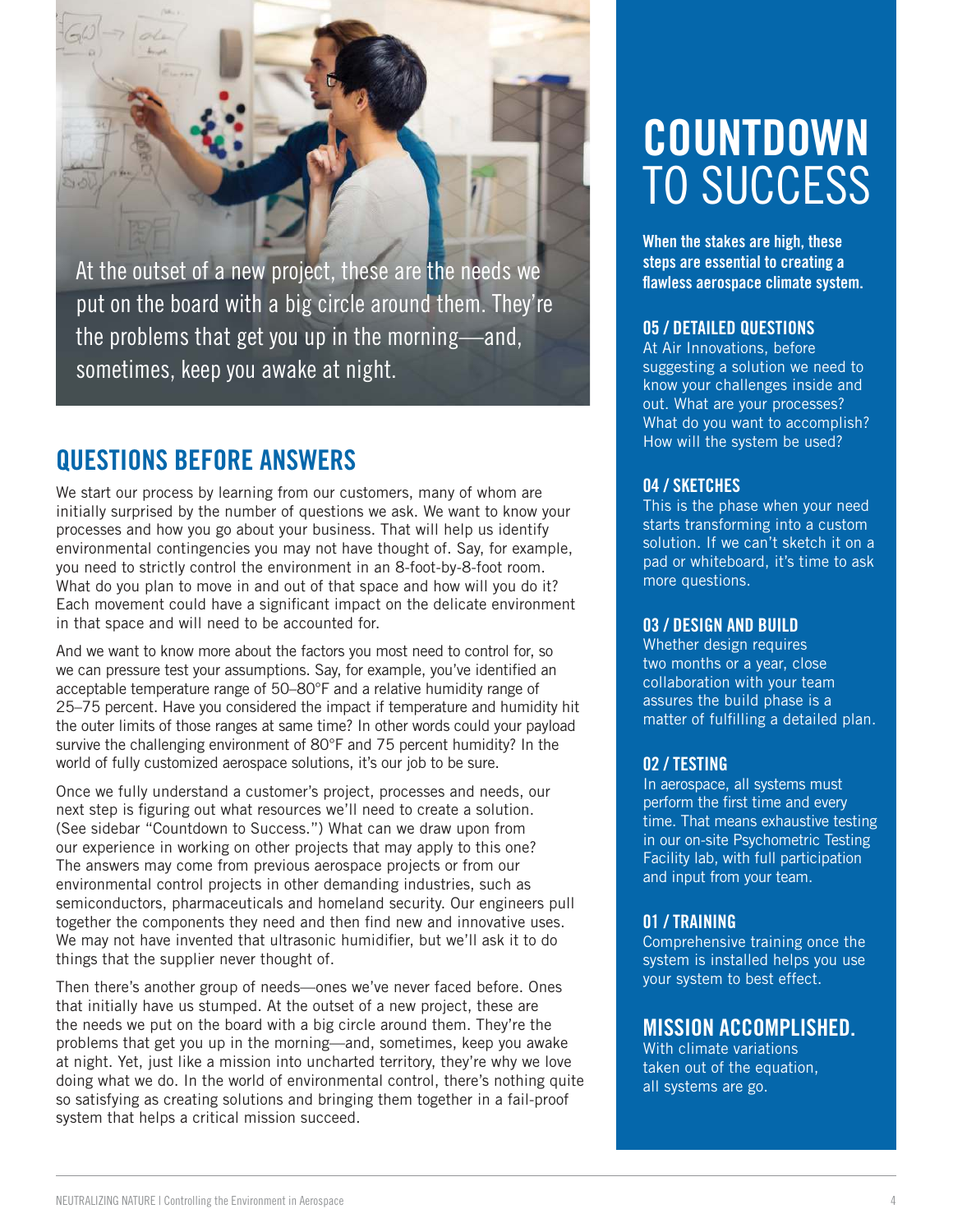

At the outset of a new project, these are the needs we put on the board with a big circle around them. They're the problems that get you up in the morning—and, sometimes, keep you awake at night.

## QUESTIONS BEFORE ANSWERS

We start our process by learning from our customers, many of whom are initially surprised by the number of questions we ask. We want to know your processes and how you go about your business. That will help us identify environmental contingencies you may not have thought of. Say, for example, you need to strictly control the environment in an 8-foot-by-8-foot room. What do you plan to move in and out of that space and how will you do it? Each movement could have a significant impact on the delicate environment in that space and will need to be accounted for.

And we want to know more about the factors you most need to control for, so we can pressure test your assumptions. Say, for example, you've identified an acceptable temperature range of 50–80°F and a relative humidity range of 25–75 percent. Have you considered the impact if temperature and humidity hit the outer limits of those ranges at same time? In other words could your payload survive the challenging environment of 80°F and 75 percent humidity? In the world of fully customized aerospace solutions, it's our job to be sure.

Once we fully understand a customer's project, processes and needs, our next step is figuring out what resources we'll need to create a solution. (See sidebar "Countdown to Success.") What can we draw upon from our experience in working on other projects that may apply to this one? The answers may come from previous aerospace projects or from our environmental control projects in other demanding industries, such as semiconductors, pharmaceuticals and homeland security. Our engineers pull together the components they need and then find new and innovative uses. We may not have invented that ultrasonic humidifier, but we'll ask it to do things that the supplier never thought of.

Then there's another group of needs—ones we've never faced before. Ones that initially have us stumped. At the outset of a new project, these are the needs we put on the board with a big circle around them. They're the problems that get you up in the morning—and, sometimes, keep you awake at night. Yet, just like a mission into uncharted territory, they're why we love doing what we do. In the world of environmental control, there's nothing quite so satisfying as creating solutions and bringing them together in a fail-proof system that helps a critical mission succeed.

# COUNTDOWN TO SUCCESS

When the stakes are high, these steps are essential to creating a flawless aerospace climate system.

### 05 / DETAILED QUESTIONS

At Air Innovations, before suggesting a solution we need to know your challenges inside and out. What are your processes? What do you want to accomplish? How will the system be used?

### 04 / SKETCHES

This is the phase when your need starts transforming into a custom solution. If we can't sketch it on a pad or whiteboard, it's time to ask more questions.

### 03 / DESIGN AND BUILD

Whether design requires two months or a year, close collaboration with your team assures the build phase is a matter of fulfilling a detailed plan.

## 02 / TESTING

In aerospace, all systems must perform the first time and every time. That means exhaustive testing in our on-site Psychometric Testing Facility lab, with full participation and input from your team.

## 01 / TRAINING

Comprehensive training once the system is installed helps you use your system to best effect.

## MISSION ACCOMPLISHED.

With climate variations taken out of the equation, all systems are go.